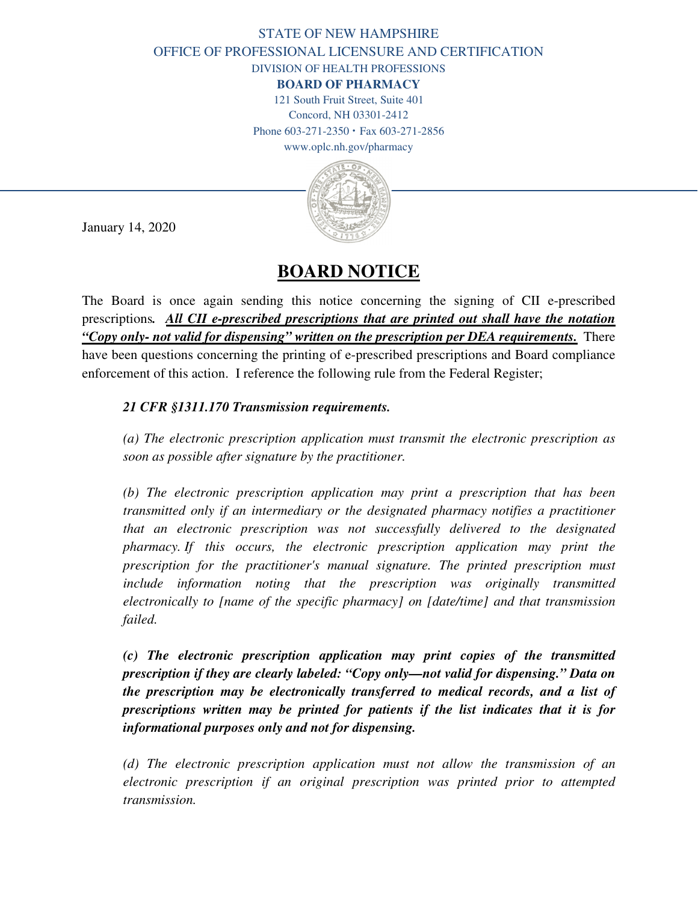## STATE OF NEW HAMPSHIRE OFFICE OF PROFESSIONAL LICENSURE AND CERTIFICATION DIVISION OF HEALTH PROFESSIONS

**BOARD OF PHARMACY**

121 South Fruit Street, Suite 401 Concord, NH 03301-2412

Phone 603-271-2350 **·** Fax 603-271-2856

www.oplc.nh.gov/pharmacy



January 14, 2020

## **BOARD NOTICE**

The Board is once again sending this notice concerning the signing of CII e-prescribed prescriptions*. All CII e-prescribed prescriptions that are printed out shall have the notation "Copy only- not valid for dispensing" written on the prescription per DEA requirements.* There have been questions concerning the printing of e-prescribed prescriptions and Board compliance enforcement of this action. I reference the following rule from the Federal Register;

## *21 CFR §1311.170 Transmission requirements.*

*(a) The electronic prescription application must transmit the electronic prescription as soon as possible after signature by the practitioner.* 

*(b) The electronic prescription application may print a prescription that has been transmitted only if an intermediary or the designated pharmacy notifies a practitioner that an electronic prescription was not successfully delivered to the designated pharmacy. If this occurs, the electronic prescription application may print the prescription for the practitioner's manual signature. The printed prescription must include information noting that the prescription was originally transmitted electronically to [name of the specific pharmacy] on [date/time] and that transmission failed.* 

*(c) The electronic prescription application may print copies of the transmitted prescription if they are clearly labeled: "Copy only—not valid for dispensing." Data on the prescription may be electronically transferred to medical records, and a list of prescriptions written may be printed for patients if the list indicates that it is for informational purposes only and not for dispensing.* 

*(d) The electronic prescription application must not allow the transmission of an electronic prescription if an original prescription was printed prior to attempted transmission.*